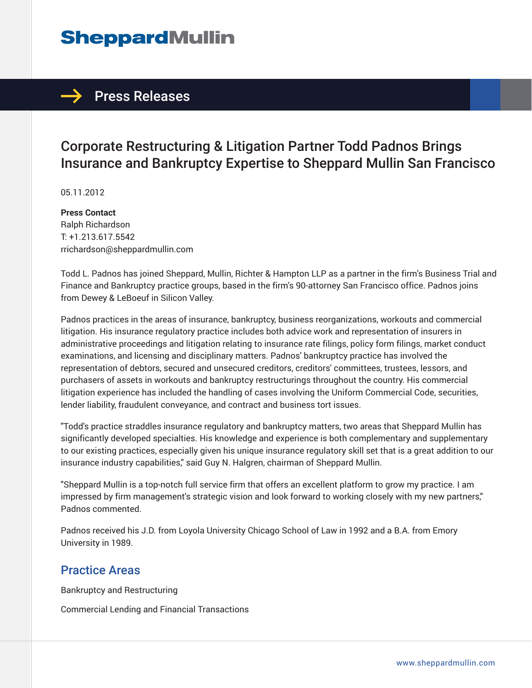## **SheppardMullin**

### $\rightarrow$  Press Releases

### Corporate Restructuring & Litigation Partner Todd Padnos Brings Insurance and Bankruptcy Expertise to Sheppard Mullin San Francisco

05.11.2012

**Press Contact** Ralph Richardson T: +1.213.617.5542 rrichardson@sheppardmullin.com

Todd L. Padnos has joined Sheppard, Mullin, Richter & Hampton LLP as a partner in the firm's Business Trial and Finance and Bankruptcy practice groups, based in the firm's 90-attorney San Francisco office. Padnos joins from Dewey & LeBoeuf in Silicon Valley.

Padnos practices in the areas of insurance, bankruptcy, business reorganizations, workouts and commercial litigation. His insurance regulatory practice includes both advice work and representation of insurers in administrative proceedings and litigation relating to insurance rate filings, policy form filings, market conduct examinations, and licensing and disciplinary matters. Padnos' bankruptcy practice has involved the representation of debtors, secured and unsecured creditors, creditors' committees, trustees, lessors, and purchasers of assets in workouts and bankruptcy restructurings throughout the country. His commercial litigation experience has included the handling of cases involving the Uniform Commercial Code, securities, lender liability, fraudulent conveyance, and contract and business tort issues.

"Todd's practice straddles insurance regulatory and bankruptcy matters, two areas that Sheppard Mullin has significantly developed specialties. His knowledge and experience is both complementary and supplementary to our existing practices, especially given his unique insurance regulatory skill set that is a great addition to our insurance industry capabilities," said Guy N. Halgren, chairman of Sheppard Mullin.

"Sheppard Mullin is a top-notch full service firm that offers an excellent platform to grow my practice. I am impressed by firm management's strategic vision and look forward to working closely with my new partners," Padnos commented.

Padnos received his J.D. from Loyola University Chicago School of Law in 1992 and a B.A. from Emory University in 1989.

#### Practice Areas

Bankruptcy and Restructuring

Commercial Lending and Financial Transactions